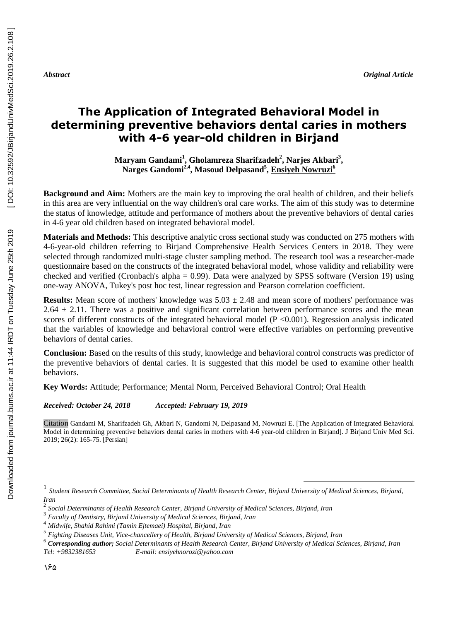*Abstract Original Article*

## **The Application of Integrated Behavioral Model in determining preventive behaviors dental caries in mothers with 4-6 year-old children in Birjand**

**Maryam Gandami<sup>1</sup> , Gholamreza Sharifzadeh<sup>2</sup> , Narjes Akbari<sup>3</sup> , Narges Gandomi2,4 , Masoud Delpasand<sup>5</sup> , Ensiyeh Nowruzi<sup>6</sup>**

**Background and Aim:** Mothers are the main key to improving the oral health of children, and their beliefs in this area are very influential on the way children's oral care works. The aim of this study was to determine the status of knowledge, attitude and performance of mothers about the preventive behaviors of dental caries in 4-6 year old children based on integrated behavioral model.

**Materials and Methods:** This descriptive analytic cross sectional study was conducted on 275 mothers with 4-6-year-old children referring to Birjand Comprehensive Health Services Centers in 2018. They were selected through randomized multi-stage cluster sampling method. The research tool was a researcher-made questionnaire based on the constructs of the integrated behavioral model, whose validity and reliability were checked and verified (Cronbach's alpha = 0.99). Data were analyzed by SPSS software (Version 19) using one-way ANOVA, Tukey's post hoc test, linear regression and Pearson correlation coefficient.

**Results:** Mean score of mothers' knowledge was  $5.03 \pm 2.48$  and mean score of mothers' performance was  $2.64 \pm 2.11$ . There was a positive and significant correlation between performance scores and the mean scores of different constructs of the integrated behavioral model ( $P < 0.001$ ). Regression analysis indicated that the variables of knowledge and behavioral control were effective variables on performing preventive behaviors of dental caries.

**Conclusion:** Based on the results of this study, knowledge and behavioral control constructs was predictor of the preventive behaviors of dental caries. It is suggested that this model be used to examine other health behaviors.

**Key Words:** Attitude; Performance; Mental Norm, Perceived Behavioral Control; Oral Health

*Received: October 24, 2018 Accepted: February 19, 2019*

Citation Gandami M, Sharifzadeh Gh, Akbari N, Gandomi N, Delpasand M, Nowruzi E. [The Application of Integrated Behavioral Model in determining preventive behaviors dental caries in mothers with 4-6 year-old children in Birjand]. J Birjand Univ Med Sci. 2019; 26(2): 165-75. [Persian]

1

<sup>1</sup> *Student Research Committee, Social Determinants of Health Research Center, Birjand University of Medical Sciences, Birjand, Iran*

<sup>2</sup> *Social Determinants of Health Research Center, Birjand University of Medical Sciences, Birjand, Iran*

<sup>3</sup> *Faculty of Dentistry, Birjand University of Medical Sciences, Birjand, Iran*

<sup>4</sup> *Midwife, Shahid Rahimi (Tamin Ejtemaei) Hospital, Birjand, Iran*

<sup>5</sup> *Fighting Diseases Unit, Vice-chancellery of Health, Birjand University of Medical Sciences, Birjand, Iran*

<sup>6</sup> *Corresponding author; Social Determinants of Health Research Center, Birjand University of Medical Sciences, Birjand, Iran Tel: +9832381653 E-mail: ensiyehnorozi@yahoo.com*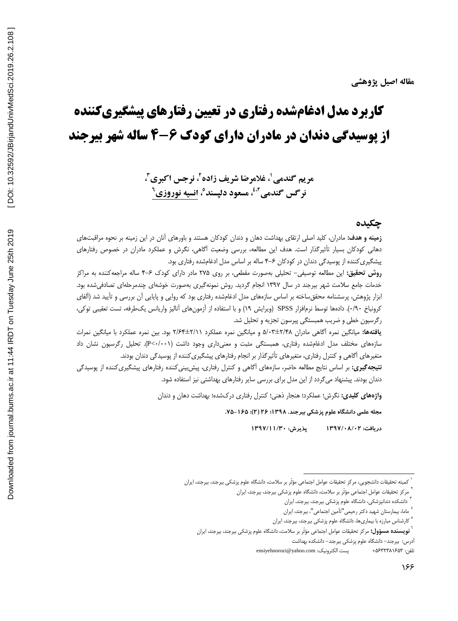# **کاربرد مدل ادغامشده رفتاری در تعیین رفتارهای پیشگیریکننده از پوسیدگی دندان در مادران دارای کودک 4-6 ساله شهر بیرجند**

**1 مریم گندمی 3 ، نرجس اکبری <sup>2</sup> ، غالمرضا شریف زاده ، 4،2 نرگس گندمی ، مسعود دلپسند ، انسیه نوروزی <sup>5</sup> 6**

### **چکیده**

**زمینه و هدف:** مادران، کلید اصلی ارتقاى بهداشت دهان و دندان کودکان هستند و باورهاى آنان در این زمینه بر نحوه مراقبتهاى دهانی کودکان بسیار تأثیرگذار است. هدف این مطالعه، بررسی وضعیت آگاهی، نگرش و عملکرد مادران در خصوص رفتارهای پیشگیری کننده از پوسیدگی دندان در کودکان ۶-۴ ساله بر اساس مدل ادغامشده رفتاری بود.

**روش تحقیق:** این مطالعه توصیفی- تحلیلی بهصورت مقطعی، بر روی ۲۷۵ مادر دارای کودک ۶-۴ ساله مراجعهکننده به مراکز خدمات جامع سلامت شهر بیرجند در سال ۱۳۹۷ انجام گردید. روش نمونهگیری بهصورت خوشهای چندمرحلهای تصادفیشده بود. ابزار پژوهش، پرسشنامه محققِ ساخته بر اساس سازمهای مدل ادغامشده رفتاری بود که روایی و پایایی آن بررسی و تأیید شد (آلفای کرونباخ ۰/۹۰). دادهها توسط نرم|فزار SPSS (ویرایش ۱۹) و با استفاده از آزمونِهای آنالیز واریانس یکطرفه، تست تعقیبی توکی، رگرسیون خطی و ضریب همبستگی پیرسون تجزیه و تحلیل شد.

**يافتِّا:** هیبًگیي ًوطُ آگبّی هبزضاى 5/03±2/48 ٍ هیبًگیي ًوطُ ػولىطز 2/64±2/11 ثَز. ثیي ًوطُ ػولىطز ثب هیبًگیي ًوطات سازههای مختلف مدل ادغام شده رفتاری، همبستگی مثبت و معنیداری وجود داشت (P<۰/۰۰۱). تحلیل رگرسیون نشان داد متغیرهای آگاهی و کنترل رفتاری، متغیرهای تأثیرگذار بر انجام رفتارهای پیشگیری کننده از پوسیدگی دندان بودند. **نتیجِه&یری:** بر اساس نتایج مطالعه حاضر، سازههای آگاهی و کنترل رفتاری، پیش<u> بی</u>نی کننده رفتارهای پیشگیری *ک*ننده از پوسیدگی

دندان بودند. پیشنهاد میگردد از این مدل برای بررسی سایر رفتارهای بهداشتی نیز استفاده شود.

**واژههای كلیدی:** نگرش؛ عملكرد؛ هنجار ذهنی؛ كنترل رفتاری دركشده؛ بهداشت دهان و دندان

**هجلِ علوي داًشگاُ علَم پششكي بيزجٌد. 1354؛ 22 )2(6 .31-121**

دريافت: ۱۳۹۷/۰۸/۰۲ پذيرش: ۱۳۹۷/۱۱/۳۰

1

آدرس: بیرجند– دانشگاه علوم پزشکی بیرجند– دانشکده بهداشت

تلفي: +5632381653 پؿت الىتطًٍیه: com.yahoo@ensiyehnorozi

<sup>&</sup>lt;sup>1</sup> كميته تحقيقات دانشجويى، مركز تحقيقات عوامل اجتماعى مؤثّر بر سلامت، دانشگاه علوم پزشكى بيرجند، بيرجند، ايران

٢ مركز تحقیقات عوامل اجتماعی مؤثّر بر سلامت، دانشگاه علوم پزشكی بیرجند، بیرجند، ایران

٣ دانشكده دندانپزشكى، دانشگاه علوم پزشكى بيرجند، بيرجند، ایران

<sup>&</sup>lt;sup>ء</sup> ماما، بیمارستان شهید دکتر رحیمی"تأمین اجتماعی"، بیرجند، ایران

<sup>&</sup>lt;sup>ء</sup> کارشناس مبارزه با بیماریها، دانشگاه علوم پزشکی بیرجند، بیرجند، ایران

<sup>&</sup>lt;sup>7</sup>ً **نویسنده مسؤول؛** مرکز تحقیقات عوامل اجتماعی مؤثّر بر سلامت، دانشگاه علوم پزشکی بیرجند، بیرجند، ایران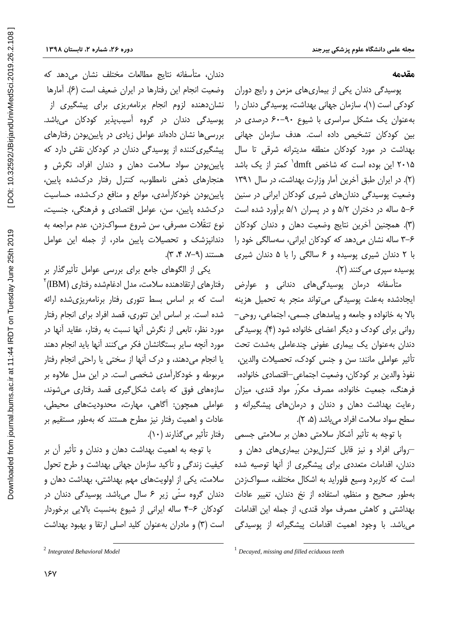**مقدمه**

یوسیدگی دندان یکی از بیماری های مزمن و رایج دوران کودکی است (۱). سازمان جهانی بهداشت، پوسیدگی دندان را به عنوان یک مشکل سراسری با شیوع ۹۰-۶۰ درصدی در بین کودکان تشخیص داده است. هدف سازمان جهان*ی* بِهداشت در مورد کودکان منطقه مدیترانه شرقی تا سال ۲۰۱۵ این بوده است که شاخص dmft<sup>'</sup> کمتر از یک باشد (۲). در ایران طبق آخرین آمار وزارت بهداشت، در سال ۱۳۹۱ وضعیت پوسیدگی دندان های شیری کودکان ایرانی در سنین 5-6 ساله در دختران ۵/۲ و در پسران ۵/۱ برآورد شده است (۳). همچنین آخرین نتایج وضعیت دهان و دندان کودکان ۶-۳ ساله نشان می دهد که کودکان ایرانی، سهسالگی خود را با ۲ دندان شیری پوسیده و ۶ سالگی را با ۵ دندان شیری پوسیده سپری میکنند (۲).

متأسفانه درمان پوسیدگیهای دندانی و عوارض ایجادشده بهعلت پوسیدگی میتواند منجر به تحمیل هزینه بالا به خانواده و جامعه و پیامدهای جسمی، اجتماعی، روحی-روانی برای کودک و دیگر اعضای خانواده شود (۴). پوسیدگی دندان به عنوان یک بیماری عفونی چندعاملی بهشدت تحت تأثیر عواملی مانند: سن و جنس کودک، تحصیلات والدین، نفوذ والدین بر کودکان، وضعیت اجتماعی–اقتصادی خانواده، فرهنگ، جمعیت خانواده، مصرف مکرّر مواد قندی، میزان رعایت بهداشت دهان و دندان و درمانهای پیشگیرانه و سطح سواد سلامت افراد میباشد (۵، ۲).

با توجه به تأثیر آشکار سلامتی دهان بر سلامتی جسمی –ضٍاًی افطاز ٍ ًیع لبثل وٌتطلثَزى ثیوبضیّبی زّبى ٍ دندان، اقدامات متعددی برای پیشگیری از آنها توصیه شده است که کاربرد وسیع فلوراید به اشکال مختلف، مسواکزدن بهطور صحیح و منظم، استفاده از نخ دندان، تغییر عادات بهداشتی و کاهش مصرف مواد قندی، از جمله این اقدامات میباشد. با وجود اهمیت اقدامات پیشگیرانه از پوسیدگی

1

دندان، متأسفانه نتایج مطالعات مختلف نشان می دهد كه وضعیت انجام این رفتارها در ایران ضعیف است (۶). آمارها نشان دهنده لزوم انجام برنامهریزی برای پیشگیری از پوسیدگی دندان در گروه آسیبپذیر کودکان میباشد. بررسی ها نشان دادهاند عوامل زیادی در پایین بودن رفتارهای پیشگیری کننده از پوسیدگی دندان در کودکان نقش دارد که پایین بودن سواد سلامت دهان و دندان افراد، نگرش و هنجارهای ذهنی نامطلوب، کنترل رفتار درکشده پایین، پایین بودن خودکارآمدی، موانع و منافع درکشده، حساسیت درکشده پایین، سن، عوامل اقتصادی و فرهنگی، جنسیت، نوع تنقّلات مصرفی، سن شروع مسواکزدن، عدم مراجعه به دندانپزشک و تحصیلات پایین مادر، از جمله این عوامل  $x^2$ هستند (۹-۷، ۴، ۳).

یکی از الگوهای جامع برای بررسی عوامل تأثیرگذار بر  $^\mathrm{v}(\mathrm{IBM})$  رفتارهای ارتقادهنده سلامت، مدل ادغامشده رفتاری است که بر اساس بسط تئوری رفتار برنامهریزیشده ارائه شده است. بر اساس این تئوری، قصد افراد برای انجام رفتار مورد نظر، تابعی از نگرش آنها نسبت به رفتار، عقاید آنها در مورد آنچه سایر بستگانشان فكر می كنند آنها باید انجام دهند یا انجام میدهند، و درک آنها از سختی یا راحتی انجام رفتار مربوطه و خودکارآمدی شخصی است. در این مدل علاوه بر سازههای فوق که باعث شکل گیری قصد رفتاری می شوند، عواملی همچون: آگاهی، مهارت، محدودیتهای محیطی، عادات و اهمیت رفتار نیز مطرح هستند که بهطور مستقیم بر رفتار تأثیر میگذارند (۱۰).

با توجه به اهمیت بهداشت دهان و دندان و تأثیر آن بر کیفیت زندگی و تأکید سازمان جهانی بهداشت و طرح تحول سلامت، یکی از اولویتهای مهم بهداشتی، بهداشت دهان و دندان گروه سنّی زیر ۶ سال می،باشد. پوسیدگی دندان در کودکان ۶–۴ ساله ایرانی از شیوع بهنسبت بالایی برخوردار است (٣) و مادران بهعنوان كليد اصلى ارتقا و بهبود بهداشت

 $\overline{a}$ 

<sup>1</sup> *Decayed, missing and filled eciduous teeth*

<sup>2</sup> *Integrated Behavioral Model*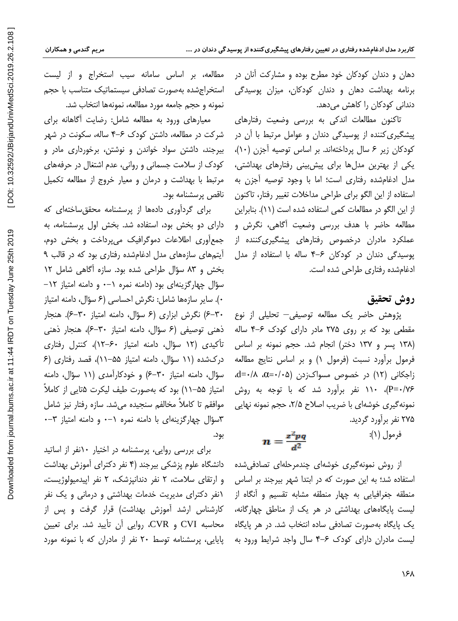دهان و دندان كودكان خود مطرح بوده و مشاركت آنان در برنامه بهداشت دهان و دندان کودکان، میزان پوسیدگی دندانی کودکان را کاهش می دهد.

تاکنون مطالعات اندکی به بررسی وضعیت رفتارهای پیشگیری کننده از پوسیدگی دندان و عوامل مرتبط با آن در كودكان زير ۶ سال پرداختهاند. بر اساس توصيه آجزن (١٠)، یکی از بهترین مدلها برای پیش بینی رفتارهای بهداشتی، هدل ادغامشده رفتاری است؛ اما با وجود توصیه آجزن به استفاده از این الگو برای طراحی مداخلات تغییر رفتار، تاکنون از این الگو در مطالعات کمی استفاده شده است (١١). بنابراین مطالعه حاضر با هدف بررسی وضعیت آگاهی، نگرش و عملكرد مادران درخصوص رفتارهاى پیشگیرى *ك*ننده از یوسیدگی دندان در کودکان ۶-۴ ساله با استفاده از مدل ادغامشده رفتاری طراحی شده است.

## **روش تحقیق**

پژوهش حاضر یک مطالعه توصیفی– تحلیلی از نوع مقطعی بود که بر روی ٢٧۵ مادر دارای کودک ۶-۴ ساله (۱۳۸ پسر و ۱۳۷ دختر) انجام شد. حجم نمونه بر اساس فرمول برآورد نسبت (فرمول ١) و بر اساس نتایج مطالعه زاجکانی (١٢) در خصوص مسواکزدن (a−٠/٠۵، λ/۰=d=٠/٨ 0/P=•/۷۶)، ۱۱۰ نفر برآورد شد که با توجه به روش نمونه گیری خوشهای با ضریب اصلاح ۲/۵، حجم نمونه نهایی ۲۷۵ نفر برآورد گردید.

$$
n = \frac{z^2pq}{d^2} \qquad \qquad \text{if } (1)
$$

از روش نمونهگیری خوشهای چندمرحلهای تصادفی شده استفاده شد؛ به این صورت که در ابتدا شهر بیرجند بر اساس منطقه جغرافیایی به چهار منطقه مشابه تقسیم و آنگاه از لیست پایگاههای بهداشتی در هر یک از مناطق چهارگانه، یک پایگاه بهصورت تصادفی ساده انتخاب شد. در هر پایگاه لیست مادران دارای کودک ۶-۴ سال واجد شرایط ورود به

مطالعه، بر اساس سامانه سیب استخراج و از لیست استخراجشده بهصورت تصادفی سیستماتیک متناسب با حجم نمونه و حجم جامعه مورد مطالعه، نمونهها انتخاب شد.

معیارهای ورود به مطالعه شامل: رضایت آگاهانه برای شركت در مطالعه، داشتن كودك ۶-۴ ساله، سكونت در شهر بیرجند، داشتن سواد خواندن و نوشتن، برخورداری مادر و کودک از سلامت جسمانی و روانی، عدم اشتغال در حرفههای مرتبط با بهداشت و درمان و معیار خروج از مطالعه تکمیل ناقص پرسشنامه بود.

برای گردآوری دادهها از پرسشنامه محقق ساختهای که دارای دو بخش بود، استفاده شد. بخش اول پرسشنامه، به جمعآوری اطلاعات دموگرافیک میپرداخت و بخش دوم، آیتمهای سازههای مدل ادغامشده رفتاری بود که در قالب ۹ بخش و ٨٣ سؤال طراحی شده بود. سازه آگاهی شامل ١٢ سؤال چهارگزینهای بود (دامنه نمره ١-٠ و دامنه امتیاز ١٢-۰). سایر سازهها شامل: نگرش احساسی (۶ سؤال، دامنه امتیاز 6-30( ًگطـ اثعاضی )6 ؾؤال، زاهٌِ اهتیبظ 6-30(. ٌّدبض ذهنی توصیفی (۶ سؤال، دامنه امتیاز ۳۰-۶)، هنجار ذهنی تأکیدی (١٢ سؤال، دامنه امتیاز ۶۰-١٢)، کنترل رفتاری درکشده (١١ سؤال، دامنه امتیاز ۵۵-١١)، قصد رفتاری (۶ سؤال، دامنه امتیاز ٣٠-٤) و خودكارآمدی (١١ سؤال، دامنه امتیاز ۵۵–۱۱) بود که بهصورت طیف لیکرت ۵تایی از کاملاً موافقم تا کاملاً مخالفم سنجیده میشد. سازه رفتار نیز شامل ٣سؤال چهارگزینهای با دامنه نمره ١-٠ و دامنه امتیاز ٣-٠ بود.

برای بررسی روایی، پرسشنامه در اختیار ۱۰نفر از اساتید دانشگاه علوم پزشکی بیرجند (۴ نفر دکترای آموزش بهداشت و ارتقای سلامت، ۲ نفر دندانپزشک، ۲ نفر اییدمیولوژیست، (نفر دکترای مدیریت خدمات بهداشتی و درمانی و یک نفر كارشناس ارشد آموزش بهداشت) قرار گرفت و پس از محاسبه CVI و CVR، روایی آن تأیید شد. برای تعیین پایایی، پرسشنامه توسط ٢٠ نفر از مادران كه با نمونه مورد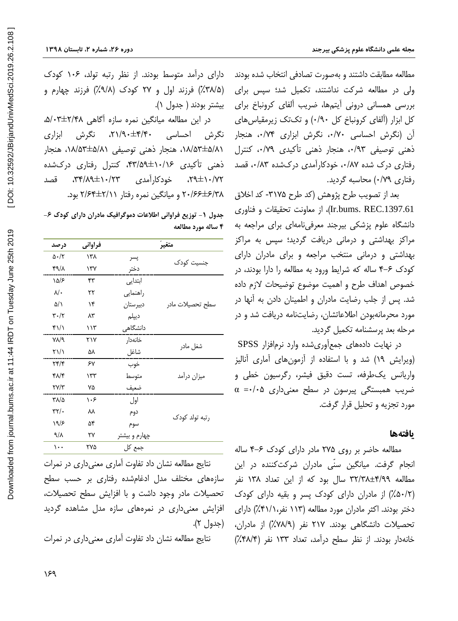مطالعه مطابقت داشتند و بهصورت تصادفی انتخاب شده بودند ولی در مطالعه شرکت نداشتند، تکمیل شد؛ سیس برای بررسی همسانی درونی آیتمها، ضریب آلفای کرونباخ برای کل ابزار (آلفای کرونباخ کل ۱۹۰) و تکتک زیرمقیاس های آن (نگرش احساسی ۰/۷۰، نگرش ابزاری ۰/۷۴، هنجار ذهنی توصیفی ۰/۹۳، هنجار ذهنی تأکیدی ۰/۷۹، کنترل رفتاری درک شده ۰/۸۷ خودکارآمدی درکشده ۰/۸۳، قصد رفتاری ۷۹/۰/۹) محاسبه گردید.

بعد از تصویب طرح پژوهش (کد طرح ۳۱۷۵- کد اخلاق Ir.bums. REC.1397.61)، از معاونت تحقیقات و فناوری دانشگاه علوم پزشکی بیرجند معرفی نامهای برای مراجعه به مراکز بهداشتی و درمانی دریافت گردید؛ سپس به مراکز بهداشتی و درمانی منتخب مراجعه و برای مادران دارای كودك ۶-۴ ساله كه شرايط ورود به مطالعه را دارا بودند، در خصوص اهداف طرح و اهمیت موضوع توضیحات لازم داده شد. پس از جلب رضایت مادران و اطمینان دادن به آنها در مورد محرمانهبودن اطلاعاتشان، رضایتنامه دریافت شد و در مرحله بعد پرسشنامه تکمیل گردید.

در نهایت دادههای جمعآوریشده وارد نرمافزار SPSS (ویرایش ۱۹) شد و با استفاده از آزمونهای آماری آنالیز واریانس یکطرفه، تست دقیق فیشر، رگرسیون خطی و ضریب همبستگی پیرسون در سطح معنیداری ۵+۰= a مورد تجزیه و تحلیل قرار گرفت.

#### **یافتهها**

مطالعه حاضر بر روی ٢٧۵ مادر دارای کودک ۶-۴ ساله انجام گرفت. میانگین سنّی مادران شرکتکننده در این مطالعه ٣٢/٣٨±٣/٣٨ سال بود که از این تعداد ١٣٨ نفر (۵۰/۲) از مادران دارای کودک پسر و بقیه دارای کودک دختر بودند. اکثر مادران مورد مطالعه (۱۱۳ نفر،۶۱/۱٪) دارای تحصیلات دانشگاهی بودند. ۲۱۷ نفر (۷۸/۹٪) از مادران، خانهدار بودند. از نظر سطح درآمد، تعداد ١٣٣ نفر (٣٨/٤٪)

دارای درآمد متوسط بودند. از نظر رتبه تولد، ۱۰۶ کودک (۳۸/۵٪) فرزند اول و ۲۷ کودک (۹/۸٪) فرزند چهارم و بیشتر بودند ( جدول ۱).

در این مطالعه میانگین نمره سازه آگاهی ۲/۴۸±۵/۰۳ نگرش احساسی ۴/۴۰±+۲۱/۹، نگرش ابزاری ۱۸/۵۳±۵/۸۱، هنجار ذهنی توصیفی ۵/۱۵۲±۱۸/۵۳، هنجار ذهنی تأکیدی ۱۰/۱۶±۴۳/۵۹، کنترل رفتاری درکشده ۰/۷۲±۲۹، خودکارآمدی ۰/۳۴/۸۹±۲۰/۲۳، قصد 20/66±6/38 ٍ هیبًگیي ًوطُ ضفتبض 2/64±2/11 ثَز.

**جذٍل -1 تَزيع فراٍاًی اطالعات دهَگرافیک هادراى داراي كَدک -6 4 سالِ هَرد هطالعِ**

| درصد                                 | فراوانى |               | متغير            |  |
|--------------------------------------|---------|---------------|------------------|--|
| ۵۰/۲                                 | ۱۳۸     | پسر           | جنسیت کودک       |  |
| ۴٩/٨                                 | ۱۳۷     | دختر          |                  |  |
| ۱۵/۶                                 | ۴۳      | ابتدايى       |                  |  |
| $\lambda/\cdot$                      | ۲۲      | راهنمايي      |                  |  |
| $\Delta/\Lambda$                     | ۱۴      | دبيرستان      | سطح تحصيلات مادر |  |
| $\mathbf{r} \cdot / \mathbf{r}$      | ۸۳      | ديپلم         |                  |  |
| ۴۱/۱                                 | ۱۱۳     | دانشگاهی      |                  |  |
| ۷۸/۹                                 | ۲۱۷     | خانەدار       |                  |  |
| $\Gamma \backslash / \backslash$     | ۵٨      | شاغل          | شغل مادر         |  |
| $\mathbf{Y} \mathbf{Y} / \mathbf{Y}$ | ۶۷      | خوب           |                  |  |
| ۴۸/۴                                 | ۱۳۳     | متوسط         | ميزان درآمد      |  |
| <b>۲۷/۳</b>                          | ٧۵      | ضعيف          |                  |  |
| ۳۸/۵                                 | ۱۰۶     | اول           |                  |  |
| ۳۲/۰                                 | ᄊ       | دوم           |                  |  |
| ۱۹/۶                                 | ۵۴      | سوم           | رتبه تولد کودک   |  |
| 9/1                                  | ٢٧      | چهارم و بیشتر |                  |  |
| $\cdots$                             | ۲۷۵     | جمع کل        |                  |  |

نتایج مطالعه نشان داد تفاوت آماری معنی داری در نمرات سازههای مختلف مدل ادغامشده رفتاری بر حسب سطح تحصیلات مادر وجود داشت و با افزایش سطح تحصیلات، افزایش معنی داری در نمرههای سازه مدل مشاهده گردید (جدول ۲).

نتایج مطالعه نشان داد تفاوت آماری معنیداری در نمرات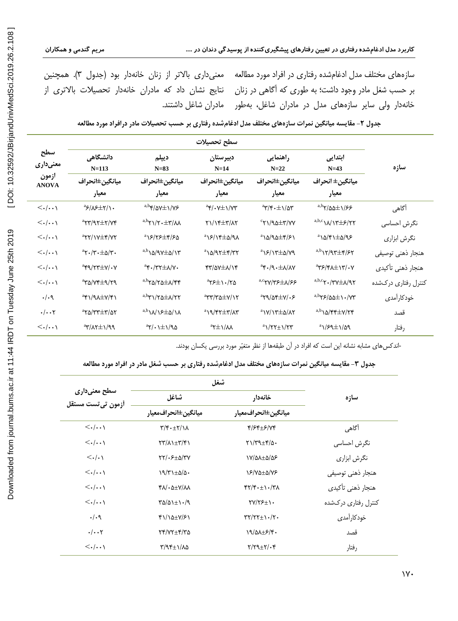سازههای مختلف مدل ادغامشده رفتاری در افراد مورد مطالعه معنیداری بالاتر از زنان خانهدار بود (جدول ۳). همچنین بر حسب شغل مادر وجود داشت؛ به طورى كه آگاهى در زنان خانهدار ولی سایر سازههای مدل در مادران شاغل، بهطور مادران شاغل داشتند.

نتایج نشان داد كه مادران خانهدار تحصیلات بالاتری از

|  |  | جدول ۲- مقایسه میانگین نمرات سازههای مختلف مدل ادغام شده رفتاری بر حسب تحصیلات مادر درافراد مورد مطالعه |
|--|--|---------------------------------------------------------------------------------------------------------|
|--|--|---------------------------------------------------------------------------------------------------------|

| سطح<br>معنىدارى               | دانشگاهی<br>$N = 113$                                    | دييلم<br>$N=83$                                  | دبيرستان<br>$N=14$                   | راهنمایی<br>$N=22$                              | ابتدايي<br>$N=43$                                            | سازه                |
|-------------------------------|----------------------------------------------------------|--------------------------------------------------|--------------------------------------|-------------------------------------------------|--------------------------------------------------------------|---------------------|
| ازمون<br><b>ANOVA</b>         | ميانگين±انحراف<br>معيار                                  | ميانگين±انحراف<br>معيار                          | ميانگين±انحراف<br>معيار              | ميانگين±انحراف<br>معيار                         | ميانگين± انحراف<br>معيار                                     |                     |
| $\langle . . \cdot \rangle$   | <b>4۶/۸۶±۲/۱۰</b>                                        | $a,b\mathcal{L}/\Delta V\pm 1/V\mathcal{F}$      | $^a$ ۴/۰۷ $\pm$ ۱/۷۳                 | $\gamma$ ۳/۴۰ $\pm$ ۱/۵۳                        | a,bγ/۵۵±۱/۶۶                                                 | أگاهی               |
| $\langle . . \cdot \rangle$   | $4\gamma$ /7 $\pm$ 7/ $\gamma$ <sup>a</sup>              | $a,b\gamma\gamma/\gamma.\pm\gamma/\gamma\lambda$ | $Y)/Y \pm Y/N$                       | $\gamma$ ۲۱/۹۵±۳/۷۷                             | $a,b,c}$ $\mathcal{N}$                                       | نگرش احساسی         |
| $\langle . . \cdot \rangle$   | $\gamma$ 17/17 $\pm$                                     | 8319±4176                                        | $a\$ 15/15\pm\Delta/9\Lambda         | <b>13/94±۴/۶۱</b>                               | $a\lambda\delta/\mathfrak{r}\lambda \pm \Delta/\mathfrak{r}$ | نگرش ابزاری         |
| $\langle . . \cdot \rangle$   | $a\gamma \cdot / \gamma \cdot \pm \Delta / \gamma \cdot$ | $a,b \lambda/9V \pm \Delta/V$                    | $a\lambda\gamma\pm\gamma/\gamma\tau$ | $a\$ 2\pi\                                      | $a,b \gamma \gamma \gamma + \mathfrak{F}/\mathfrak{F}$       | هنجار ذهني توصيفي   |
| $\langle . . \cdot \rangle$   | $\gamma$ ۰۷ $\pm$ ۳۹/۲۳ $\pm$ ۷/۰۷                       | $\mathcal{N}(X+\mathcal{V}^*)$                   | $YY/\Delta V\pm\Lambda/\gamma$       | $\mathcal{N}(\lambda \pm \lambda/\lambda)^a$    | $\gamma$ ۰۷/۴۸ $\pm$ ۱۳/۰۷                                   | هنجار ذهني تأكيدي   |
| $\langle . . \cdot \rangle$   | P7\P±9\/Y <sup>a</sup>                                   | <sup>a,b</sup> Ya/Ya±1/44                        | $a\gamma f \pm 1.7\gamma a$          | <sup>a,c</sup> ٢٧/٣۶±λ/۶۶                       | $a,b,c\gamma$ . $\gamma\gamma\pm\lambda/9\gamma$             | کنترل رفتاری درکشده |
| $\cdot/\cdot$ ٩               | $45/44\pm V/f$                                           | $a,b\gamma$ 1/٢ $\Delta\pm\Lambda$ /٢٢           | 3TY/TALV/17                          | 2011±10/04°                                     | $a,b\gamma/2a\Delta\pm 1.7\gamma$                            | خودکارآمدی          |
| $\cdot/\cdot\cdot$ $\Upsilon$ | 75/۳۳±۳/۵۲                                               | $a,b \lambda/\sqrt{2\pm\Delta/\lambda}$          | $^{\mathrm{a}}$ \9/۴۲ $\pm$ ۳/۸۳     | $\alpha$ ۱۷/۱۳ $\pm$ ۵/۸۲                       | $a,b \lambda/\gamma + \pm V/\gamma \gamma$                   | قصد                 |
| $\langle . . \cdot \rangle$   | $P$ $P$ \/ $\pm$ \/\ $\tau^{\rm a}$                      | $a\gamma/\cdot$ 1 $\pm$ 1/94                     | $\lambda\lambda/\pm\gamma^a$         | $a\sqrt{\Upsilon\Upsilon}$ / $\Upsilon\Upsilon$ | $\frac{a}{2}$                                                | رفتار               |

-اندکسِ های مشابه نشانه این است که افراد در آن طبقهها از نظر متغیّر مورد بررسی یکسان بودند.

#### جدول ۳- مقایسه میانگین نمرات سازههای مختلف مدل ادغامشده رفتاری بر حسب شغل مادر در افراد مورد مطالعه

|                                       | شغل                                                                   |                                                                    |                     |  |
|---------------------------------------|-----------------------------------------------------------------------|--------------------------------------------------------------------|---------------------|--|
| سطح معنیداری                          | شاغل                                                                  | خانەدار                                                            | سازه                |  |
| أزمون ت <i>ي</i> تست مستقل            | ميانگين±انحرافمعيار                                                   | ميانگين±انحرافمعيار                                                |                     |  |
| $\langle ./ \rangle$                  | $Y/\mathfrak{r}\cdot\pm\mathfrak{r}/\Lambda$                          | ۴/۶۴±۶/۷۴                                                          | آگاهی               |  |
| $\langle ./ \rangle$                  | $\Upsilon \Upsilon / \Lambda \Upsilon + \Upsilon / \Upsilon \Upsilon$ | $Y1/\Gamma9+\Gamma/\Delta$ .                                       | نگرش احساسی         |  |
| $\langle \cdot   \cdot \rangle$       | $\frac{1}{2}$                                                         | <b>IV/QA±Q/Q&amp;</b>                                              | نگرش ابزاری         |  |
| $\langle ./ \rangle$                  | $19/71 + \Delta/\Delta$ .                                             | 18/40+0/48                                                         | هنجار ذهنى توصيفى   |  |
| $\langle . . \cdot \rangle$           | $Y\Lambda/\cdot\Delta+V/\Lambda\Lambda$                               | $YY/Y \cdot \pm 1.77$                                              | هنجار ذهني تأكيدي   |  |
| $\langle \cdot   \cdot \cdot \rangle$ | $\Gamma\Delta/\Delta\lambda \pm 1.79$                                 | <b>TV/TS+1.</b>                                                    | کنترل رفتاری درکشده |  |
| . / .9                                | $Y\1\Delta+V/F$                                                       | $\mathbf{Y} \mathbf{Y} / \mathbf{Y} + \mathbf{Y} \cdot \mathbf{X}$ | خودكارآمدي          |  |
| $\cdot/\cdot\cdot$ ۲                  | $Yf/YY+F/Y\Delta$                                                     | $19/\Delta\lambda + 5/\gamma$ .                                    | قصد                 |  |
| $\langle . . \cdot \rangle$           | $\frac{8\lambda}{1+\lambda}$                                          | $Y/YQ_{\pm}Y/\cdot Y$                                              | رفتار               |  |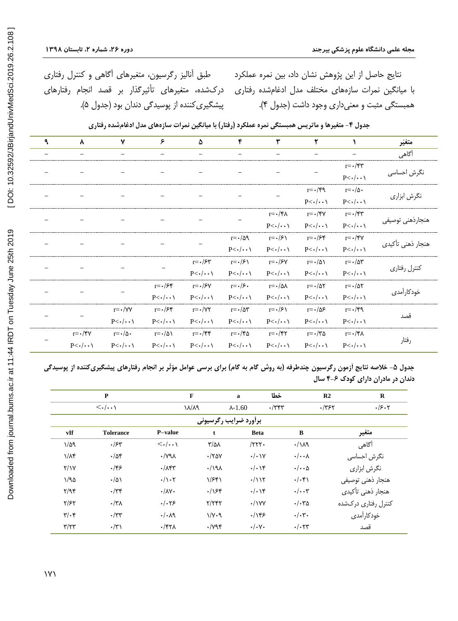نتايج حاصل از این پژوهش نشان داد، بین نمره عملكرد با میانگین نمرات سازههای مختلف مدل ادغامشده رفتاری همبستگی مثبت و معنیداری وجود داشت (جدول ۴). طبق آنالیز رگرسیون، متغیرهای آگاهی و کنترل رفتاری درکشده، متغیرهای تأثیرگذار بر قصد انجام رفتارهای پیشگیری کننده از پوسیدگی دندان بود (جِدول ۵).

جدول ۴- متغیرها و ماتریس همبستگی نمره عملکرد (رفتار) با میانگین نمرات سازههای مدل ادغامشده رفتاری

| ٩                        | ۸                                  | $\mathbf v$              | ۶                        | ۵                                       | ۴                               | ٣                                     | ۲                                             |                                         | متغيّر            |
|--------------------------|------------------------------------|--------------------------|--------------------------|-----------------------------------------|---------------------------------|---------------------------------------|-----------------------------------------------|-----------------------------------------|-------------------|
|                          |                                    |                          |                          |                                         |                                 |                                       |                                               |                                         | آگاهی             |
|                          |                                    |                          |                          |                                         |                                 |                                       |                                               | $r = \cdot / \mathfrak{f} \mathfrak{r}$ |                   |
|                          |                                    |                          |                          |                                         |                                 |                                       |                                               | $P<\cdot/\cdot\cdot$                    | نگرش احساسی       |
|                          |                                    | $\overline{\phantom{0}}$ |                          |                                         |                                 |                                       | $r = \cdot / \mathcal{F}$                     | $r = \cdot/\Delta$                      |                   |
| $\overline{\phantom{m}}$ | $\overline{\phantom{m}}$           |                          | $\qquad \qquad -$        | $\overline{\phantom{m}}$                | -                               | $\overline{\phantom{m}}$              | $P<\cdot/\cdot\cdot$                          | $P<\cdot/\cdot\cdot$                    | نگرش ابزاری       |
|                          |                                    |                          | $\overline{\phantom{0}}$ |                                         |                                 | $r = \cdot / \mathcal{F} \wedge$      | $r = \cdot / \mathcal{V}$                     | $r = \cdot / \mathfrak{f} \mathfrak{r}$ |                   |
|                          |                                    |                          |                          |                                         |                                 | $P<\cdot/\cdot\cdot$                  | $P<\cdot/\cdot\cdot$                          | $P<\cdot/\cdot\cdot$                    | هنجارذهني توصيفي  |
|                          |                                    |                          |                          |                                         | $r = \cdot / \Delta$ ۹          | $r = \cdot / \mathcal{F}$             | $r = \cdot / 5$ ۴                             | $r = \cdot / \sqrt{Y}V$                 | هنجار ذهني تأكيدي |
|                          |                                    |                          |                          |                                         | $P<\cdot/\cdot\cdot$            | $P<\cdot/\cdot\cdot$                  | $P<\cdot/\cdot\cdot$                          | $P<\cdot/\cdot\cdot$                    |                   |
|                          |                                    |                          |                          | $r = \cdot / 5r$                        | $r = \cdot / \mathcal{F}$       | $r = \cdot / \mathcal{F}V$            | $r = \cdot / \Delta$                          | $r = \cdot / \Delta r$                  |                   |
|                          |                                    |                          |                          | $P<\cdot/\cdot\cdot$                    | $P<\cdot/\cdot\cdot$            | $P<\cdot/\cdot\cdot$                  | $P\left\langle \cdot/\cdot\cdot\right\rangle$ | $P<\cdot/\cdot\cdot$                    | كنترل رفتاري      |
|                          |                                    |                          | $r = \cdot 5$ ۴          | $r = \cdot 5V$                          | $r = \cdot 7$ .                 | $r = \cdot / \delta \lambda$          | $r = \cdot / \Delta Y$                        | $r = \cdot / \Delta Y$                  |                   |
|                          |                                    |                          | $P<\cdot/\cdot\cdot$     | $P<\cdot/\cdot\cdot$                    | $P<\cdot/\cdot\cdot$            | $P\leq t/\cdot t$                     | $P\left\langle \cdot/\cdot\cdot\right\rangle$ | $P<\cdot/\cdot\cdot$                    | خودكار آمدى       |
|                          |                                    | $r = \cdot / \sqrt{V}$   | $r = \cdot 5$ ۴          | $r = \cdot / \sqrt{7}$                  | $r = \cdot / \Delta r$          | $r = \cdot / \mathcal{F}$             | $r = \cdot / \Delta \mathcal{F}$              | $r = \cdot / \mathcal{F}$               |                   |
|                          |                                    | $P<\cdot/\cdot\cdot$     | $P<\cdot/\cdot\cdot$     | $P<\cdot/\cdot\cdot$                    | $P\lt \cdot/\cdot \cdot \wedge$ | $P<\cdot/\cdot\cdot$                  | $P\left\langle \cdot/\cdot\cdot\right\rangle$ | $P<\cdot/\cdot\cdot$                    | قصد               |
|                          | $r = \cdot / \mathcal{V}$          | $r = \cdot/\Delta$ .     | $r = \cdot/\Delta$       | $r = \cdot / \mathfrak{f} \mathfrak{f}$ | $r = \cdot / \mathcal{L}$       | $r = \cdot / \mathcal{F} \mathcal{V}$ | $r = \cdot / r \Delta$                        | $r = \cdot / f \wedge$                  |                   |
|                          | $P\langle \cdot/\cdot\cdot\rangle$ | $P<\cdot/\cdot\cdot$     | $P<\cdot/\cdot\cdot$     | $P\lt \cdot/\cdot\cdot$                 | $P<\cdot/\cdot\cdot$            | $P<\cdot/\cdot\cdot$                  | $P<\cdot/\cdot\cdot$                          | $P<\cdot/\cdot\cdot$                    | رفتار             |

جدول ۵- خلاصه نتايج آزمون رگرسيون چندطرفه (به روش گام به گام) برای برسی عوامل مؤثّر بر انجام رفتارهای پیشگیریکننده از پوسیدگی **دًذاى در هادراى داراي كَدک 4-6 سال**

| ${\bf P}$                     |                                       | $\mathbf{F}$                   |                       | خطا<br>a                 |                             | R <sub>2</sub>      | R           |  |
|-------------------------------|---------------------------------------|--------------------------------|-----------------------|--------------------------|-----------------------------|---------------------|-------------|--|
|                               | $\langle \cdot   \cdot \cdot \rangle$ |                                | ١٨/٨٩                 | $\lambda - 1.60$         | $\cdot$ /۳۴۳                | .7957               | .15.7       |  |
|                               |                                       |                                | برأورد ضرايب رگرسيونى |                          |                             |                     |             |  |
| vIf                           | <b>Tolerance</b>                      | P-value                        | t                     | <b>Beta</b>              | B                           |                     | متغير       |  |
| $1/\Delta q$                  | .75                                   | $\langle . . \cdot \rangle$    | $\frac{1}{2}$         | /777.                    | $\cdot/\lambda$ 9           |                     | آگاهی       |  |
| $1/\lambda$ ۴                 | .788                                  | $\cdot$ / $\gamma$ ۹ $\Lambda$ | $\cdot$ /۲۵۷          | $\cdot/\cdot \vee$       | $\cdot/\cdot\cdot$ $\wedge$ | نگرش احساسی         |             |  |
| Y/Y                           | .155                                  | $\cdot/\lambda$ ۴۳             | .191                  | $\cdot/\cdot$ \۴         | $\cdot/\cdot\cdot\Delta$    |                     | نگرش ابزاری |  |
| ۱/۹۵                          | $\cdot/\Delta$                        | $\cdot/\rangle \cdot \tau$     | 1/Ff1                 | $\cdot/\iota$            | $\cdot/\cdot$ ۴۱            | هنجار ذهني توصيفي   |             |  |
| Y/9f                          | $\cdot$ /٣۴                           | $\cdot/\lambda$ Y $\cdot$      | .188                  | $\cdot/\cdot$ \۴         | $\cdot/\cdot\cdot$ ۳        | هنجار ذهني تأكيدي   |             |  |
| $Y/\mathcal{F}Y$              | $\cdot$ /۳۸                           | .1.79                          | Y/YYY                 | $\cdot$ / $\vee$ YY      | $\cdot/\cdot r_0$           | كنترل رفتارى دركشده |             |  |
| $\mathbf{y} \cdot \mathbf{y}$ | $\cdot$ /٣٣                           | $\cdot/\cdot \lambda$ 9        | $1/V \cdot 9$         | .195                     | $\cdot/\cdot$ ۳.            | خودكارآمدي          |             |  |
| $\mathbf{y}/\mathbf{y}$       | $\cdot$ /۳)                           | $\cdot$ /۴۲۸                   | $\cdot$ / $\gamma$ ۹۴ | $\cdot/\cdot \vee \cdot$ | $\cdot/\cdot$ $\tau$ ۳      |                     | قصد         |  |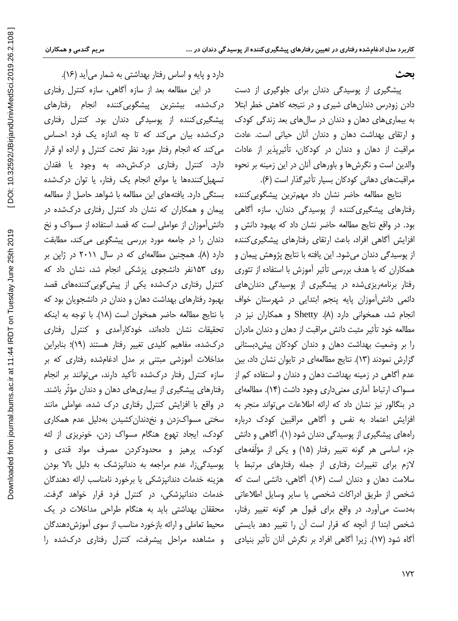#### **بحث**

ییشگیری از پوسیدگی دندان برای جلوگیری از دست دادن زودرس دندان هاى شیرى و در نتیجه كاهش خطر ابتلا به بیماریهای دهان و دندان در سالهای بعد زندگی کودک و ارتقای بهداشت دهان و دندان آنان حیاتی است. عادت مراقبت از دهان و دندان در كودكان، تأثیرپذیر از عادات والدین است و نگرش ها و باورهای آنان در این زمینه بر نحوه مراقبتهای دهانی کودکان بسیار تأثیرگذار است (۶).

نتایج مطالعه حاضر نشان داد مهمترین پیشگویی *ک*ننده رفتارهای پیشگیری *ک*ننده از پوسیدگی دندان، سازه آگاهی بود. در واقع نتایج مطالعه حاضر نشان داد كه بهبود دانش و افزایش آگاهی افراد، باعث ارتقای رفتارهای پیشگیری كننده از پوسیدگی دندان می شود. این یافته با نتایج پژوهش پیمان و همکاران که با هدف بررسی تأثیر آموزش با استفاده از تئوری رفتار برنامهریزیشده در پیشگیری از پوسیدگی دندانهای دائمی دانش آموزان پایه پنجم ابتدایی در شهرستان خواف انجام شد، همخوانی دارد (A). Shetty و همکاران نیز در مطالعه خود تأثیر مثبت دانش مراقبت از دهان و دندان مادران را بر وضعیت بهداشت دهان و دندان کودکان پیش دبستانی گزارش نمودند (١٣). نتايج مطالعهاى در تايوان نشان داد، بين عدم آگاهی در زمینه بهداشت دهان و دندان و استفاده کم از مسواک ارتباط آماری معنیداری وجود داشت (۱۴). مطالعهای در بنگالور نیز نشان داد كه ارائه اطلاعات می تواند منجر به افزایش اعتماد به نفس و آگاهی مراقبین کودک درباره راههای پیشگیری از پوسیدگی دندان شود (۱). آگاهی و دانش جزء اساسی هر گونه تغییر رفتار (۱۵) و یکی از مؤلّفههای لازم برای تغییرات رفتاری از جمله رفتارهای مرتبط با سلامت دهان و دندان است (۱۶). آگاهی، دانشی است که شخص از طریق ادراكات شخصی یا سایر وسایل اطلاعاتی بِهدست میآورد. در واقع برای قبول هر گونه تغییر رفتار، شخص ابتدا از آنچه که قرار است آن را تغییر دهد بایستی آگاه شود (١٧). زیرا آگاهی افراد بر نگرش آنان تأثیر بنیادی

دارد و پایه و اساس رفتار بهداشتی به شمار می آید (۱۶). در این مطالعه بعد از سازه آگاهی، سازه کنترل رفتاری درکشده، بیشترین پیشگوییکننده انجام رفتارهای پیشگیری کننده از پوسیدگی دندان بود. کنترل رفتاری درکشده بیان میکند که تا چه اندازه یک فرد احساس می کند که انجام رفتار مورد نظر تحت کنترل و اراده او قرار دارد. کنترل رفتاری درکش،ده، به وجود یا فقدان تسهیل کنندهها یا موانع انجام یک رفتار، یا توان درکشده بستگی دارد. یافتههای این مطالعه با شواهد حاصل از مطالعه پیمان و همکاران که نشان داد کنترل رفتاری درکشده در دانش آموزان از عواملی است که قصد استفاده از مسواک و نخ دندان را در جامعه مورد بررسی پیشگویی می كند، مطابقت دارد (۸). همچنین مطالعهای که در سال ۲۰۱۱ در ژاپن بر روی ۱۵۳نفر دانشجوی پزشکی انجام شد، نشان داد که کنترل رفتاری درکشده یکی از پیش گویی کنندههای قصد بهبود رفتارهاى بهداشت دهان و دندان در دانشجويان بود كه با نتایج مطالعه حاضر همخوان است (١٨). با توجه به اینکه تحقیقات نشان دادهاند، خودكارآمدی و كنترل رفتاری درکشده، مفاهیم کلیدی تغییر رفتار هستند (١٩)؛ بنابراین مداخلات آموزشی مبتنی بر مدل ادغامشده رفتاری که بر سازه کنترل رفتار درکشده تأکید دارند، میتوانند بر انجام رفتارهای پیشگیری از بیماریهای دهان و دندان مؤثّر باشند. در واقع با افزایش کنترل رفتاری درک شده، عواملی مانند سختی مسواکزدن و نخ دندان کشیدن به دلیل عدم همکاری كودك، ایجاد تهوع هنگام مسواك زدن، خونریزى از لثه کودک، پرهیز و محدودکردن مصرف مواد قندی و یوسیدگی;ا، عدم مراجِعه به دندانپزشک به دلیل بالا بودن هزینه خدمات دندانپزشکی یا برخورد نامناسب ارائه دهندگان خدمات دندانپزشكى، در كنترل فرد قرار خواهد گرفت. محققان بهداشتی باید به هنگام طراحی مداخلات در یک محیط تعاملی و ارائه بازخورد مناسب از سوی آموزش دهندگان و مشاهده مراحل پیشرفت، كنترل رفتاری دركشده را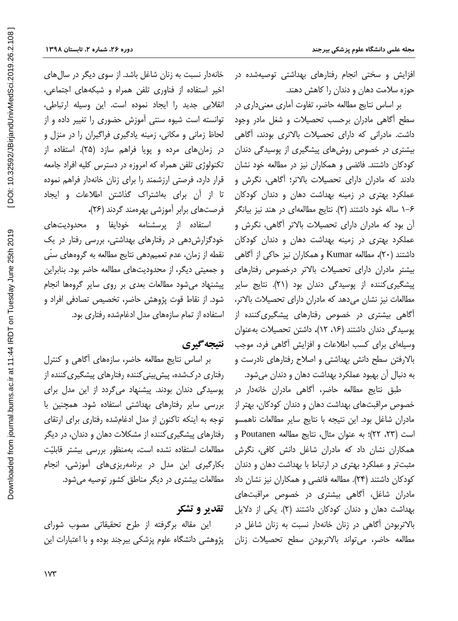افزایش و سختی انجام رفتارهای بهداشتی توصیهشده در حوزه سلامت دهان و دندان را كاهش دهند.

بر اساس نتایج مطالعه حاضر، تفاوت آماری معنی داری در سطح آگاهی مادران برحسب تحصیلات و شغل مادر وجود داشت. مادرانی که دارای تحصیلات بالاتری بودند، آگاهی بیشتری در خصوص روش های پیشگیری از پوسیدگی دندان كودكان داشتند. فائضی و همكاران نیز در مطالعه خود نشان دادند که مادران دارای تحصیلات بالاتر؛ آگاهی، نگرش و عملکرد بهترى در زمینه بهداشت دهان و دندان کودکان ۶–۱ ساله خود داشتند (۲). نتایج مطالعهای در هند نیز بیانگر آن بود که مادران دارای تحصیلات بالاتر آگاهی، نگرش و عملکرد بهترى در زمینه بهداشت دهان و دندان کودکان داشتند (۲۰**).** مطالعه Kumar و همکاران نیز حاکی از آگاهی بیشتر مادران دارای تحصیلات بالاتر درخصوص رفتارهای پیشگیری كننده از پوسیدگی دندان بود (۲۱). نتایج سایر مطالعات نیز نشان می دهد كه مادران دارای تحصیلات بالاتر، آگاهی بیشتری در خصوص رفتارهای پیشگیری كننده از پوسیدگی دندان داشتند (۱۶، ۱۲). داشتن تحصیلات بهعنوان وسیلهای برای کسب اطلاعات و افزایش آگاهی فرد، موجب بالارفتن سطح دانش بهداشتی و اصلاح رفتارهای نادرست و به دنبال آن بهبود عملكرد بهداشت دهان و دندان میشود.

طبق نتایج مطالعه حاضر، آگاهی مادران خانهدار در خصوص مراقبتهاى بهداشت دهان و دندان كودكان، بهتر از مادران شاغل بود. این نتیجه با نتایج سایر مطالعات ناهمسو است (٢٣، ٢٢)؛ به عنوان مثال، نتايج مطالعه Poutanen و همكاران نشان داد كه مادران شاغل دانش كافى، نگرش مثبتتر و عملکرد بهترى در ارتباط با بهداشت دهان و دندان كودكان داشتند (٢۴). مطالعه فائضی و همكاران نیز نشان داد مادران شاغل، آگاهی بیشتری در خصوص مراقبتهای بهداشت دهان و دندان کودکان داشتند (۲). یکی از دلایل بالاتربودن آگاهی در زنان خانهدار نسبت به زنان شاغل در مطالعه حاضر، میتواند بالاتربودن سطح تحصیلات زنان

خانهدار نسبت به زنان شاغل باشد. از سوی دیگر در سال های اخیر استفاده از فناوری تلفن همراه و شبکههای اجتماعی، انقلابی جدید را ایجاد نموده است. این وسیله ارتباطی، توانسته است شیوه سنتی آموزش حضوری را تغییر داده و از لحاظ زمانی و مکانی، زمینه یادگیری فراگیران را در منزل و در زمانِ هاى مرده و پویا فراهم سازد (۲۵). استفاده از تکنولوژی تلفن همراه که امروزه در دسترس کلیه افراد جامعه قرار دارد، فرصتی ارزشمند را برای زنان خانهدار فراهم نموده تا از آن برای بهاشتراک گذاشتن اطلاعات و ایجاد فرصتهای برابر آموزشی بهرهمند گردند (۲۶**).** 

استفاده از پرسشنامه خودایفا و محدودیتهای خودگزارش دهی در رفتارهای بهداشتی، بررسی رفتار در یک نقطه از زمان، عدم تعمیمِدهی نتایج مطالعه به گروههای سنّی و جمعیتی دیگر، از محدودیتهای مطالعه حاضر بود. بنابراین پیشنهاد میشود مطالعات بعدی بر روی سایر گروهها انجام شود. از نقاط قوت پژوهش حاضر، تخصیص تصادفی افراد و استفاده از تمام سازههای مدل ادغامشده رفتاری بود.

## **نتیجهگیری**

بر اساس نتایج مطالعه حاضر، سازههای آگاهی و کنترل رفتاری درکشده، پیش بینی کننده رفتارهای پیشگیری کننده از پوسیدگی دندان بودند. پیشنهاد میگردد از این مدل برای بررسی سایر رفتارهای بهداشتی استفاده شود. همچنین با توجِه به اینکه تاکنون از مدل ادغامشده رفتاری برای ارتقای رفتارهای پیشگیری کننده از مشکلات دهان و دندان، در دیگر مطالعات استفاده نشده است، بهمنظور بررسی بیشتر قابلیّت بکارگیری این مدل در برنامهریزیهای آموزشی، انجام مطالعات بیشتری در دیگر مناطق كشور توصیه میشود.

**تقدیر و تشکر**

این مقاله برگرفته از طرح تحقیقاتی مصوب شورای پژوهشی دانشگاه علوم پزشكی بیرجند بوده و با اعتبارات این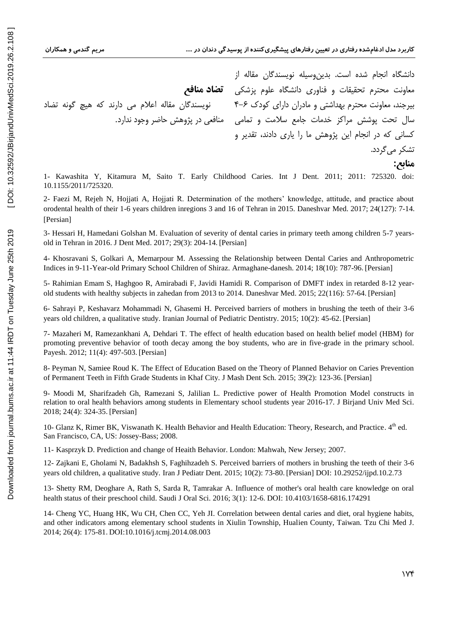دانشگاه انجام شده است. بدین وسیله نویسندگان مقاله از معاونت محترم تحقیقات و فناوری دانشگاه علوم پزشکی **تضاد منافع** بیرجند، معاونت محترم بهداشتی و مادران دارای کودک ۶–۴ ٪ نویسندگان مقاله اعلام می دارند که هیچ گونه تضاد سال تحت پوشش مراکز خدمات جامع سلامت و تمامی ۔منافعی در پژوهش حاضر وجود ندارد. کسانی که در انجام این پژوهش ما را پاری دادند، تقدیر و تشكر می گردد. **منابع:**

1- Kawashita Y, Kitamura M, Saito T. Early Childhood Caries. Int J Dent. 2011; 2011: 725320. doi: 10.1155/2011/725320.

2- Faezi M, Rejeh N, Hojjati A, Hojjati R. Determination of the mothers' knowledge, attitude, and practice about orodental health of their 1-6 years children inregions 3 and 16 of Tehran in 2015. Daneshvar Med. 2017; 24(127): 7-14. [Persian]

3- Hessari H, Hamedani Golshan M. Evaluation of severity of dental caries in primary teeth among children 5-7 yearsold in Tehran in 2016. J Dent Med. 2017; 29(3): 204-14. [Persian]

4- Khosravani S, Golkari A, Memarpour M. Assessing the Relationship between Dental Caries and Anthropometric Indices in 9-11-Year-old Primary School Children of Shiraz. Armaghane-danesh. 2014; 18(10): 787-96. [Persian]

5- Rahimian Emam S, Haghgoo R, Amirabadi F, Javidi Hamidi R. Comparison of DMFT index in retarded 8-12 yearold students with healthy subjects in zahedan from 2013 to 2014. Daneshvar Med. 2015; 22(116): 57-64. [Persian]

6- Sahrayi P, Keshavarz Mohammadi N, Ghasemi H. Perceived barriers of mothers in brushing the teeth of their 3-6 years old children, a qualitative study. Iranian Journal of Pediatric Dentistry. 2015; 10(2): 45-62. [Persian]

7- Mazaheri M, Ramezankhani A, Dehdari T. The effect of health education based on health belief model (HBM) for promoting preventive behavior of tooth decay among the boy students, who are in five-grade in the primary school. Payesh. 2012; 11(4): 497-503. [Persian]

8- Peyman N, Samiee Roud K. The Effect of Education Based on the Theory of Planned Behavior on Caries Prevention of Permanent Teeth in Fifth Grade Students in Khaf City. J Mash Dent Sch. 2015; 39(2): 123-36. [Persian]

9- Moodi M, Sharifzadeh Gh, Ramezani S, Jalilian L. Predictive power of Health Promotion Model constructs in relation to oral health behaviors among students in Elementary school students year 2016-17. J Birjand Univ Med Sci. 2018; 24(4): 324-35. [Persian]

10- Glanz K, Rimer BK, Viswanath K. Health Behavior and Health Education: Theory, Research, and Practice. 4<sup>th</sup> ed. San Francisco, CA, US: Jossey-Bass; 2008.

11- Kasprzyk D. Prediction and change of Heaith Behavior. London: Mahwah, New Jersey; 2007.

12- Zajkani E, Gholami N, Badakhsh S, Faghihzadeh S. Perceived barriers of mothers in brushing the teeth of their 3-6 years old children, a qualitative study. Iran J Pediatr Dent. 2015; 10(2): 73-80. [Persian] DOI: 10.29252/ijpd.10.2.73

13- Shetty RM, Deoghare A, Rath S, Sarda R, Tamrakar A. Influence of mother's oral health care knowledge on oral health status of their preschool child. Saudi J Oral Sci. 2016; 3(1): 12-6. DOI: 10.4103/1658-6816.174291

14- Cheng YC, Huang HK, Wu CH, Chen CC, Yeh JI. Correlation between dental caries and diet, oral hygiene habits, and other indicators among elementary school students in Xiulin Township, Hualien County, Taiwan. Tzu Chi Med J. 2014; 26(4): 175-81. DOI:10.1016/j.tcmj.2014.08.003